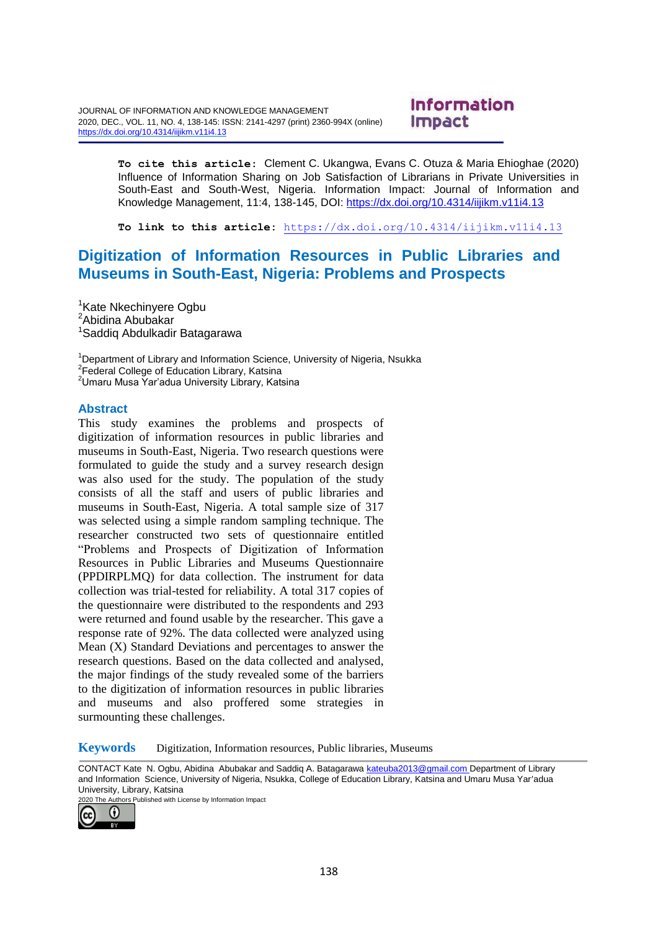JOURNAL OF INFORMATION AND KNOWLEDGE MANAGEMENT 2020, DEC., VOL. 11, NO. 4, 138-145: ISSN: 2141-4297 (print) 2360-994X (online) <https://dx.doi.org/10.4314/iijikm.v11i4.13>

# Information Impact

**To cite this article:** Clement C. Ukangwa, Evans C. Otuza & Maria Ehioghae (2020) Influence of Information Sharing on Job Satisfaction of Librarians in Private Universities in South-East and South-West, Nigeria. Information Impact: Journal of Information and Knowledge Management, 11:4, 138-145, DOI:<https://dx.doi.org/10.4314/iijikm.v11i4.13>

**To link to this article:** [https://dx.doi.org/10.4314/iijikm.v11i4.13](https://dx.doi.org/10.4314/iijikm.v11i4.1)

# **Digitization of Information Resources in Public Libraries and Museums in South-East, Nigeria: Problems and Prospects**

<sup>1</sup>Kate Nkechinyere Ogbu <sup>2</sup>Abidina Abubakar <sup>1</sup>Saddig Abdulkadir Batagarawa

<sup>1</sup>Department of Library and Information Science, University of Nigeria, Nsukka <sup>2</sup> Federal College of Education Library, Katsina <sup>2</sup>Umaru Musa Yar'adua University Library, Katsina

#### **Abstract**

This study examines the problems and prospects of digitization of information resources in public libraries and museums in South-East, Nigeria. Two research questions were formulated to guide the study and a survey research design was also used for the study. The population of the study consists of all the staff and users of public libraries and museums in South-East, Nigeria. A total sample size of 317 was selected using a simple random sampling technique. The researcher constructed two sets of questionnaire entitled "Problems and Prospects of Digitization of Information Resources in Public Libraries and Museums Questionnaire (PPDIRPLMQ) for data collection. The instrument for data collection was trial-tested for reliability. A total 317 copies of the questionnaire were distributed to the respondents and 293 were returned and found usable by the researcher. This gave a response rate of 92%. The data collected were analyzed using Mean (X) Standard Deviations and percentages to answer the research questions. Based on the data collected and analysed, the major findings of the study revealed some of the barriers to the digitization of information resources in public libraries and museums and also proffered some strategies in surmounting these challenges.

**Keywords** Digitization, Information resources, Public libraries, Museums

CONTACT Kate N. Ogbu, Abidina Abubakar and Saddiq A. Batagarawa [kateuba2013@gmail.com](mailto:kateuba2013@gmail.com) Department of Library and Information Science, University of Nigeria, Nsukka, College of Education Library, Katsina and Umaru Musa Yar'adua University, Library, Katsina

2020 The Authors Published with License by Information Impact

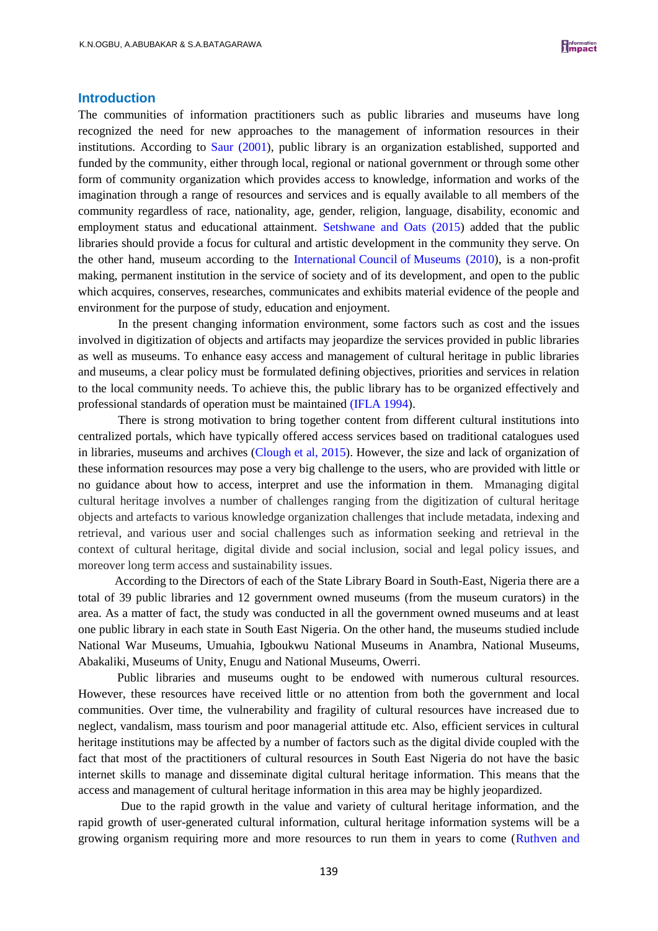#### **Introduction**

The communities of information practitioners such as public libraries and museums have long recognized the need for new approaches to the management of information resources in their institutions. According to [Saur \(2001\)](Article%20emprical%20CHALLENGES%20%202.doc), public library is an organization established, supported and funded by the community, either through local, regional or national government or through some other form of community organization which provides access to knowledge, information and works of the imagination through a range of resources and services and is equally available to all members of the community regardless of race, nationality, age, gender, religion, language, disability, economic and employment status and educational attainment. [Setshwane and Oats \(2015\)](Article%20emprical%20CHALLENGES%20%202.doc) added that the public libraries should provide a focus for cultural and artistic development in the community they serve. On the other hand, museum according to the International Council of [Museums \(2010\)](Article%20emprical%20CHALLENGES%20%202.doc), is a non-profit making, permanent institution in the service of society and of its development, and open to the public which acquires, conserves, researches, communicates and exhibits material evidence of the people and environment for the purpose of study, education and enjoyment.

In the present changing information environment, some factors such as cost and the issues involved in digitization of objects and artifacts may jeopardize the services provided in public libraries as well as museums. To enhance easy access and management of cultural heritage in public libraries and museums, a clear policy must be formulated defining objectives, priorities and services in relation to the local community needs. To achieve this, the public library has to be organized effectively and professional standards of operation must be maintained [\(IFLA 1994\)](Article%20emprical%20CHALLENGES%20%202.doc).

There is strong motivation to bring together content from different cultural institutions into centralized portals, which have typically offered access services based on traditional catalogues used in libraries, museums and archives [\(Clough et al, 2015\)](Article%20emprical%20CHALLENGES%20%202.doc). However, the size and lack of organization of these information resources may pose a very big challenge to the users, who are provided with little or no guidance about how to access, interpret and use the information in them. Mmanaging digital cultural heritage involves a number of challenges ranging from the digitization of cultural heritage objects and artefacts to various knowledge organization challenges that include metadata, indexing and retrieval, and various user and social challenges such as information seeking and retrieval in the context of cultural heritage, digital divide and social inclusion, social and legal policy issues, and moreover long term access and sustainability issues.

 According to the Directors of each of the State Library Board in South-East, Nigeria there are a total of 39 public libraries and 12 government owned museums (from the museum curators) in the area. As a matter of fact, the study was conducted in all the government owned museums and at least one public library in each state in South East Nigeria. On the other hand, the museums studied include National War Museums, Umuahia, Igboukwu National Museums in Anambra, National Museums, Abakaliki, Museums of Unity, Enugu and National Museums, Owerri.

Public libraries and museums ought to be endowed with numerous cultural resources. However, these resources have received little or no attention from both the government and local communities. Over time, the vulnerability and fragility of cultural resources have increased due to neglect, vandalism, mass tourism and poor managerial attitude etc. Also, efficient services in cultural heritage institutions may be affected by a number of factors such as the digital divide coupled with the fact that most of the practitioners of cultural resources in South East Nigeria do not have the basic internet skills to manage and disseminate digital cultural heritage information. This means that the access and management of cultural heritage information in this area may be highly jeopardized.

Due to the rapid growth in the value and variety of cultural heritage information, and the rapid growth of user-generated cultural information, cultural heritage information systems will be a growing organism requiring more and more resources to run them in years to come [\(Ruthven and](Article%20emprical%20CHALLENGES%20%202.doc)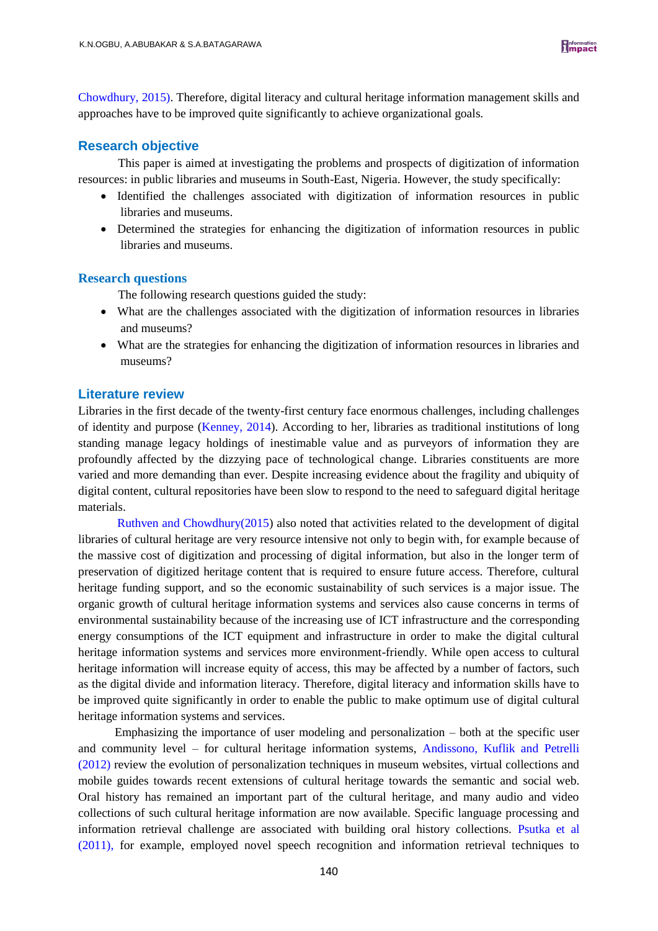Chowdhury, 2015). Therefore, digital literacy and cultural heritage information management skills and approaches have to be improved quite significantly to achieve organizational goals.

# **Research objective**

This paper is aimed at investigating the problems and prospects of digitization of information resources: in public libraries and museums in South-East, Nigeria. However, the study specifically:

- Identified the challenges associated with digitization of information resources in public libraries and museums.
- Determined the strategies for enhancing the digitization of information resources in public libraries and museums.

#### **Research questions**

The following research questions guided the study:

- What are the challenges associated with the digitization of information resources in libraries and museums?
- What are the strategies for enhancing the digitization of information resources in libraries and museums?

## **Literature review**

Libraries in the first decade of the twenty-first century face enormous challenges, including challenges of identity and purpose [\(Kenney, 2014\)](Article%20emprical%20CHALLENGES%20%202.doc). According to her, libraries as traditional institutions of long standing manage legacy holdings of inestimable value and as purveyors of information they are profoundly affected by the dizzying pace of technological change. Libraries constituents are more varied and more demanding than ever. Despite increasing evidence about the fragility and ubiquity of digital content, cultural repositories have been slow to respond to the need to safeguard digital heritage materials.

[Ruthven and Chowdhury\(2015\)](Article%20emprical%20CHALLENGES%20%202.doc) also noted that activities related to the development of digital libraries of cultural heritage are very resource intensive not only to begin with, for example because of the massive cost of digitization and processing of digital information, but also in the longer term of preservation of digitized heritage content that is required to ensure future access. Therefore, cultural heritage funding support, and so the economic sustainability of such services is a major issue. The organic growth of cultural heritage information systems and services also cause concerns in terms of environmental sustainability because of the increasing use of ICT infrastructure and the corresponding energy consumptions of the ICT equipment and infrastructure in order to make the digital cultural heritage information systems and services more environment-friendly. While open access to cultural heritage information will increase equity of access, this may be affected by a number of factors, such as the digital divide and information literacy. Therefore, digital literacy and information skills have to be improved quite significantly in order to enable the public to make optimum use of digital cultural heritage information systems and services.

 Emphasizing the importance of user modeling and personalization – both at the specific user and community level – for cultural heritage information systems, [Andissono, Kuflik and Petrelli](Article%20emprical%20CHALLENGES%20%202.doc)  [\(2012\)](Article%20emprical%20CHALLENGES%20%202.doc) review the evolution of personalization techniques in museum websites, virtual collections and mobile guides towards recent extensions of cultural heritage towards the semantic and social web. Oral history has remained an important part of the cultural heritage, and many audio and video collections of such cultural heritage information are now available. Specific language processing and information retrieval challenge are associated with building oral history collections. [Psutka et al](Article%20emprical%20CHALLENGES%20%202.doc)  [\(2011\),](Article%20emprical%20CHALLENGES%20%202.doc) for example, employed novel speech recognition and information retrieval techniques to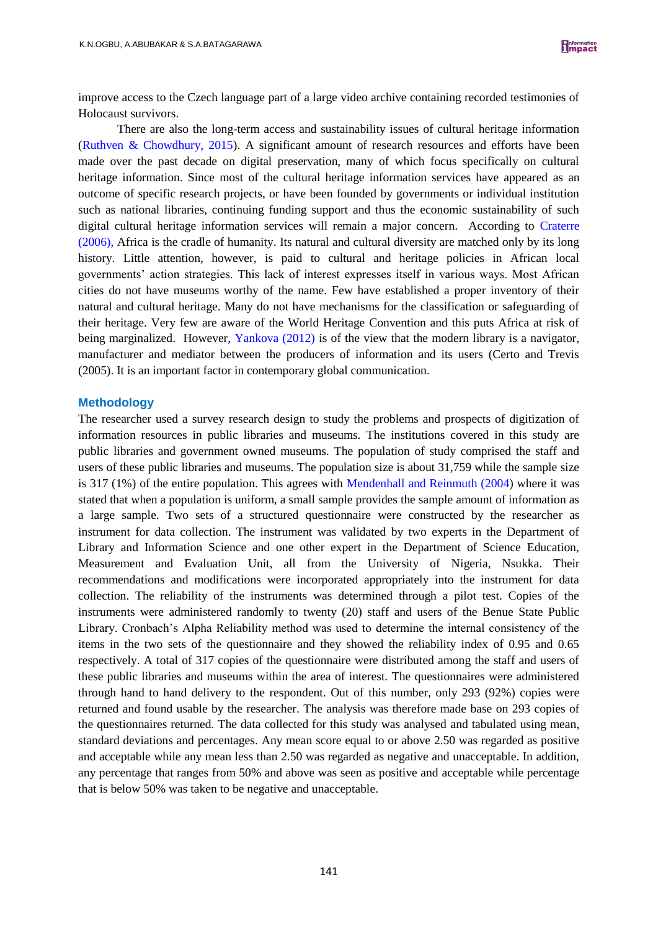improve access to the Czech language part of a large video archive containing recorded testimonies of Holocaust survivors.

There are also the long-term access and sustainability issues of cultural heritage information [\(Ruthven & Chowdhury, 2015\)](Article%20emprical%20CHALLENGES%20%202.doc). A significant amount of research resources and efforts have been made over the past decade on digital preservation, many of which focus specifically on cultural heritage information. Since most of the cultural heritage information services have appeared as an outcome of specific research projects, or have been founded by governments or individual institution such as national libraries, continuing funding support and thus the economic sustainability of such digital cultural heritage information services will remain a major concern. According to [Craterre](Article%20emprical%20CHALLENGES%20%202.doc)  [\(2006\),](Article%20emprical%20CHALLENGES%20%202.doc) Africa is the cradle of humanity. Its natural and cultural diversity are matched only by its long history. Little attention, however, is paid to cultural and heritage policies in African local governments' action strategies. This lack of interest expresses itself in various ways. Most African cities do not have museums worthy of the name. Few have established a proper inventory of their natural and cultural heritage. Many do not have mechanisms for the classification or safeguarding of their heritage. Very few are aware of the World Heritage Convention and this puts Africa at risk of being marginalized. However, [Yankova \(2012\)](Article%20emprical%20CHALLENGES%20%202.doc) is of the view that the modern library is a navigator, manufacturer and mediator between the producers of information and its users (Certo and Trevis (2005). It is an important factor in contemporary global communication.

#### **Methodology**

The researcher used a survey research design to study the problems and prospects of digitization of information resources in public libraries and museums. The institutions covered in this study are public libraries and government owned museums. The population of study comprised the staff and users of these public libraries and museums. The population size is about 31,759 while the sample size is 317 (1%) of the entire population. This agrees with [Mendenhall and Reinmuth \(2004\)](Article%20emprical%20CHALLENGES%20%202.doc) where it was stated that when a population is uniform, a small sample provides the sample amount of information as a large sample. Two sets of a structured questionnaire were constructed by the researcher as instrument for data collection. The instrument was validated by two experts in the Department of Library and Information Science and one other expert in the Department of Science Education, Measurement and Evaluation Unit, all from the University of Nigeria, Nsukka. Their recommendations and modifications were incorporated appropriately into the instrument for data collection. The reliability of the instruments was determined through a pilot test. Copies of the instruments were administered randomly to twenty (20) staff and users of the Benue State Public Library. Cronbach's Alpha Reliability method was used to determine the internal consistency of the items in the two sets of the questionnaire and they showed the reliability index of 0.95 and 0.65 respectively. A total of 317 copies of the questionnaire were distributed among the staff and users of these public libraries and museums within the area of interest. The questionnaires were administered through hand to hand delivery to the respondent. Out of this number, only 293 (92%) copies were returned and found usable by the researcher. The analysis was therefore made base on 293 copies of the questionnaires returned. The data collected for this study was analysed and tabulated using mean, standard deviations and percentages. Any mean score equal to or above 2.50 was regarded as positive and acceptable while any mean less than 2.50 was regarded as negative and unacceptable. In addition, any percentage that ranges from 50% and above was seen as positive and acceptable while percentage that is below 50% was taken to be negative and unacceptable.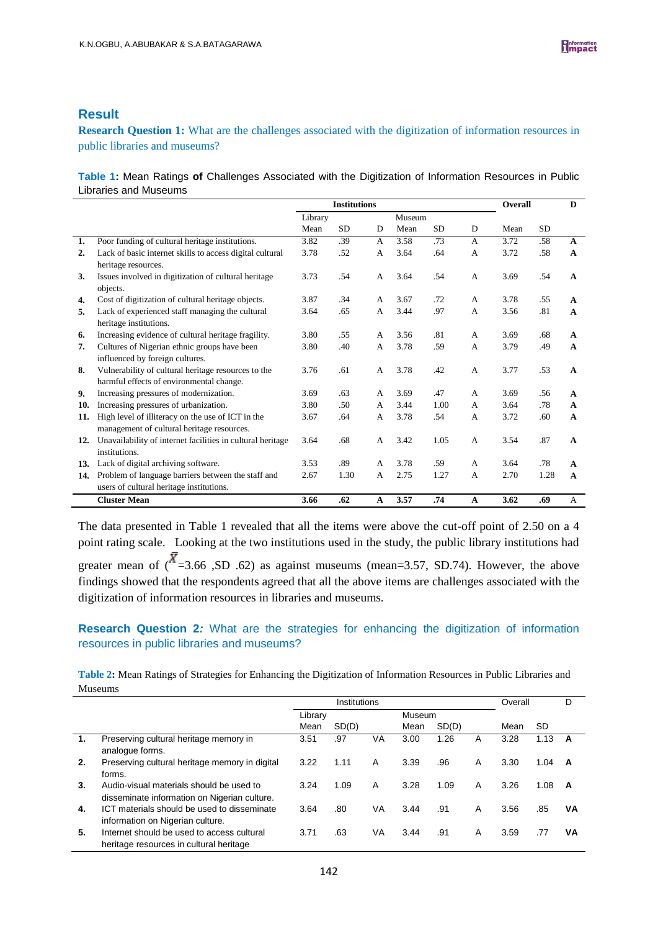# **Result**

**Research Question 1:** What are the challenges associated with the digitization of information resources in public libraries and museums?

**Table 1:** Mean Ratings **of** Challenges Associated with the Digitization of Information Resources in Public Libraries and Museums

|                |                                                                                                 | <b>Institutions</b> |           |                |        |           |                | Overall |           | D            |
|----------------|-------------------------------------------------------------------------------------------------|---------------------|-----------|----------------|--------|-----------|----------------|---------|-----------|--------------|
|                |                                                                                                 | Library             |           |                | Museum |           |                |         |           |              |
|                |                                                                                                 | Mean                | <b>SD</b> | D              | Mean   | <b>SD</b> | D              | Mean    | <b>SD</b> |              |
| 1.             | Poor funding of cultural heritage institutions.                                                 | 3.82                | .39       | $\mathsf{A}$   | 3.58   | .73       | $\overline{A}$ | 3.72    | .58       | $\mathbf{A}$ |
| $\overline{2}$ | Lack of basic internet skills to access digital cultural<br>heritage resources.                 | 3.78                | .52       | A              | 3.64   | .64       | A              | 3.72    | .58       | $\mathbf{A}$ |
| 3.             | Issues involved in digitization of cultural heritage<br>objects.                                | 3.73                | .54       | A              | 3.64   | .54       | A              | 3.69    | .54       | A            |
| 4.             | Cost of digitization of cultural heritage objects.                                              | 3.87                | .34       | A              | 3.67   | .72       | A              | 3.78    | .55       | A            |
| 5.             | Lack of experienced staff managing the cultural                                                 | 3.64                | .65       | A              | 3.44   | .97       | A              | 3.56    | .81       | A            |
|                | heritage institutions.                                                                          | 3.80                | .55       | A              | 3.56   | .81       | $\overline{A}$ | 3.69    | .68       |              |
| 6.             | Increasing evidence of cultural heritage fragility.                                             |                     |           |                |        |           |                |         |           | A            |
| 7.             | Cultures of Nigerian ethnic groups have been<br>influenced by foreign cultures.                 | 3.80                | .40       | A              | 3.78   | .59       | A              | 3.79    | .49       | $\mathbf{A}$ |
| 8.             | Vulnerability of cultural heritage resources to the                                             | 3.76                | .61       | A              | 3.78   | .42       | A              | 3.77    | .53       | A            |
|                | harmful effects of environmental change.                                                        |                     |           |                |        |           |                |         |           |              |
| 9.             | Increasing pressures of modernization.                                                          | 3.69                | .63       | A              | 3.69   | .47       | $\mathsf{A}$   | 3.69    | .56       | A            |
| 10.            | Increasing pressures of urbanization.                                                           | 3.80                | .50       | A              | 3.44   | 1.00      | A              | 3.64    | .78       | $\mathbf{A}$ |
| 11.            | High level of illiteracy on the use of ICT in the<br>management of cultural heritage resources. | 3.67                | .64       | A              | 3.78   | .54       | A              | 3.72    | .60       | A            |
| 12.            | Unavailability of internet facilities in cultural heritage                                      | 3.64                | .68       | $\overline{A}$ | 3.42   | 1.05      | $\overline{A}$ | 3.54    | .87       | A            |
|                | institutions.                                                                                   |                     |           |                |        |           |                |         |           |              |
| 13.            | Lack of digital archiving software.                                                             | 3.53                | .89       | A              | 3.78   | .59       | A              | 3.64    | .78       | A            |
| 14.            | Problem of language barriers between the staff and                                              | 2.67                | 1.30      | A              | 2.75   | 1.27      | $\overline{A}$ | 2.70    | 1.28      | A            |
|                | users of cultural heritage institutions.                                                        |                     |           |                |        |           |                |         |           |              |
|                | <b>Cluster Mean</b>                                                                             | 3.66                | .62       | A              | 3.57   | .74       | $\mathbf{A}$   | 3.62    | .69       | A            |

The data presented in Table 1 revealed that all the items were above the cut-off point of 2.50 on a 4 point rating scale. Looking at the two institutions used in the study, the public library institutions had greater mean of  $(\overline{X}) = 3.66$ , SD .62) as against museums (mean=3.57, SD.74). However, the above findings showed that the respondents agreed that all the above items are challenges associated with the digitization of information resources in libraries and museums.

## **Research Question 2***:* What are the strategies for enhancing the digitization of information resources in public libraries and museums?

**Table 2:** Mean Ratings of Strategies for Enhancing the Digitization of Information Resources in Public Libraries and Museums

|    |                                                                                          | Institutions |       |    |        |       |   | Overall |      | D  |
|----|------------------------------------------------------------------------------------------|--------------|-------|----|--------|-------|---|---------|------|----|
|    |                                                                                          | Library      |       |    | Museum |       |   |         |      |    |
|    |                                                                                          | Mean         | SD(D) |    | Mean   | SD(D) |   | Mean    | SD   |    |
| 1. | Preserving cultural heritage memory in<br>analogue forms.                                | 3.51         | .97   | VA | 3.00   | 1.26  | A | 3.28    | 1.13 | А  |
| 2. | Preserving cultural heritage memory in digital<br>forms.                                 | 3.22         | 1.11  | A  | 3.39   | .96   | A | 3.30    | 1.04 | A  |
| 3. | Audio-visual materials should be used to<br>disseminate information on Nigerian culture. | 3.24         | 1.09  | A  | 3.28   | 1.09  | A | 3.26    | 1.08 | A  |
| 4. | ICT materials should be used to disseminate<br>information on Nigerian culture.          | 3.64         | .80   | VA | 3.44   | .91   | A | 3.56    | .85  | VA |
| 5. | Internet should be used to access cultural<br>heritage resources in cultural heritage    | 3.71         | .63   | VA | 3.44   | .91   | A | 3.59    | .77  | ٧A |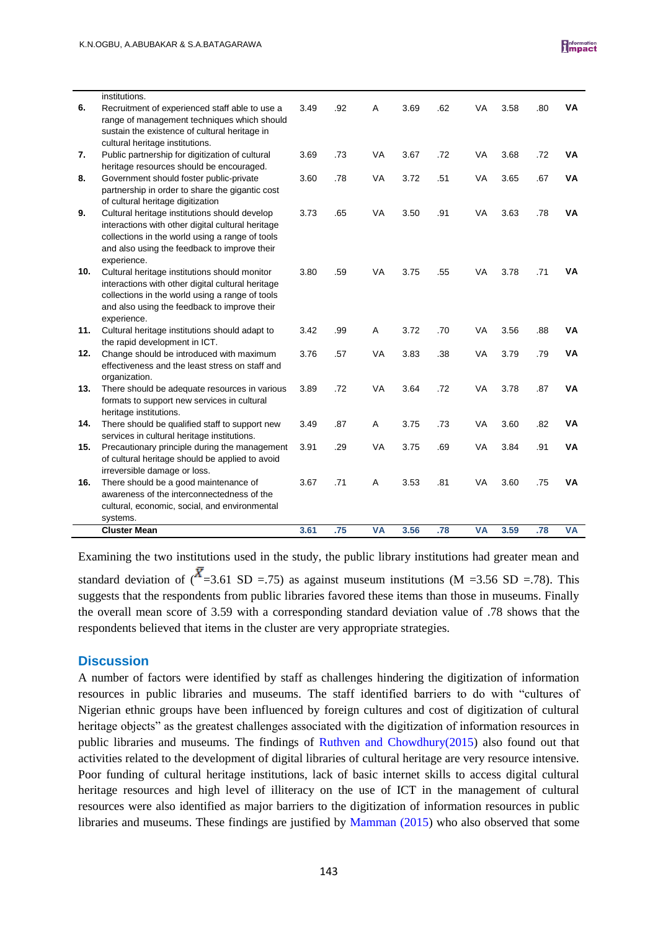|     | <b>Cluster Mean</b>                                                                                | 3.61 | .75 | <b>VA</b> | 3.56 | .78 | <b>VA</b> | 3.59 | .78 | <b>VA</b> |
|-----|----------------------------------------------------------------------------------------------------|------|-----|-----------|------|-----|-----------|------|-----|-----------|
|     | systems.                                                                                           |      |     |           |      |     |           |      |     |           |
|     | cultural, economic, social, and environmental                                                      |      |     |           |      |     |           |      |     |           |
|     | awareness of the interconnectedness of the                                                         |      |     |           |      |     |           |      |     |           |
| 16. | irreversible damage or loss.<br>There should be a good maintenance of                              | 3.67 | .71 | A         | 3.53 | .81 | <b>VA</b> | 3.60 | .75 | VA        |
|     | of cultural heritage should be applied to avoid                                                    |      |     |           |      |     |           |      |     |           |
| 15. | Precautionary principle during the management                                                      | 3.91 | .29 | VA        | 3.75 | .69 | VA        | 3.84 | .91 | <b>VA</b> |
|     | services in cultural heritage institutions.                                                        |      |     |           |      |     |           |      |     |           |
| 14. | There should be qualified staff to support new                                                     | 3.49 | .87 | Α         | 3.75 | .73 | <b>VA</b> | 3.60 | .82 | <b>VA</b> |
|     | formats to support new services in cultural<br>heritage institutions.                              |      |     |           |      |     |           |      |     |           |
| 13. | There should be adequate resources in various                                                      | 3.89 | .72 | VA        | 3.64 | .72 | <b>VA</b> | 3.78 | .87 | VA        |
|     | organization.                                                                                      |      |     |           |      |     |           |      |     |           |
| 12. | Change should be introduced with maximum<br>effectiveness and the least stress on staff and        | 3.76 | .57 | <b>VA</b> | 3.83 | .38 | <b>VA</b> | 3.79 | .79 | <b>VA</b> |
|     | the rapid development in ICT.                                                                      |      |     |           |      |     |           |      |     |           |
| 11. | Cultural heritage institutions should adapt to                                                     | 3.42 | .99 | Α         | 3.72 | .70 | VA        | 3.56 | .88 | ٧A        |
|     | and also using the feedback to improve their<br>experience.                                        |      |     |           |      |     |           |      |     |           |
|     | collections in the world using a range of tools                                                    |      |     |           |      |     |           |      |     |           |
| 10. | Cultural heritage institutions should monitor<br>interactions with other digital cultural heritage | 3.80 | .59 | <b>VA</b> | 3.75 | .55 | VA        | 3.78 | .71 | ٧A        |
|     | experience.                                                                                        |      |     |           |      |     |           |      |     |           |
|     | collections in the world using a range of tools<br>and also using the feedback to improve their    |      |     |           |      |     |           |      |     |           |
|     | interactions with other digital cultural heritage                                                  |      |     |           |      |     |           |      |     |           |
| 9.  | Cultural heritage institutions should develop                                                      | 3.73 | .65 | <b>VA</b> | 3.50 | .91 | <b>VA</b> | 3.63 | .78 | ٧A        |
|     | of cultural heritage digitization                                                                  |      |     |           |      |     |           |      |     |           |
| 8.  | Government should foster public-private<br>partnership in order to share the gigantic cost         | 3.60 | .78 | VA        | 3.72 | .51 | VA        | 3.65 | .67 | VA        |
|     | heritage resources should be encouraged.                                                           |      |     |           |      |     |           |      |     |           |
| 7.  | Public partnership for digitization of cultural                                                    | 3.69 | .73 | VA        | 3.67 | .72 | <b>VA</b> | 3.68 | .72 | VA        |
|     | cultural heritage institutions.                                                                    |      |     |           |      |     |           |      |     |           |
|     | range of management techniques which should<br>sustain the existence of cultural heritage in       |      |     |           |      |     |           |      |     |           |
| 6.  | Recruitment of experienced staff able to use a                                                     | 3.49 | .92 | Α         | 3.69 | .62 | VA        | 3.58 | .80 | VA        |
|     | institutions.                                                                                      |      |     |           |      |     |           |      |     |           |
|     |                                                                                                    |      |     |           |      |     |           |      |     |           |

Examining the two institutions used in the study, the public library institutions had greater mean and standard deviation of  $({\overline{X}}=3.61$  SD =.75) as against museum institutions (M =3.56 SD =.78). This suggests that the respondents from public libraries favored these items than those in museums. Finally the overall mean score of 3.59 with a corresponding standard deviation value of .78 shows that the respondents believed that items in the cluster are very appropriate strategies.

### **Discussion**

A number of factors were identified by staff as challenges hindering the digitization of information resources in public libraries and museums. The staff identified barriers to do with "cultures of Nigerian ethnic groups have been influenced by foreign cultures and cost of digitization of cultural heritage objects" as the greatest challenges associated with the digitization of information resources in public libraries and museums. The findings of [Ruthven and Chowdhury\(2015\)](Article%20emprical%20CHALLENGES%20%202.doc) also found out that activities related to the development of digital libraries of cultural heritage are very resource intensive. Poor funding of cultural heritage institutions, lack of basic internet skills to access digital cultural heritage resources and high level of illiteracy on the use of ICT in the management of cultural resources were also identified as major barriers to the digitization of information resources in public libraries and museums. These findings are justified by [Mamman \(2015\)](Article%20emprical%20CHALLENGES%20%202.doc) who also observed that some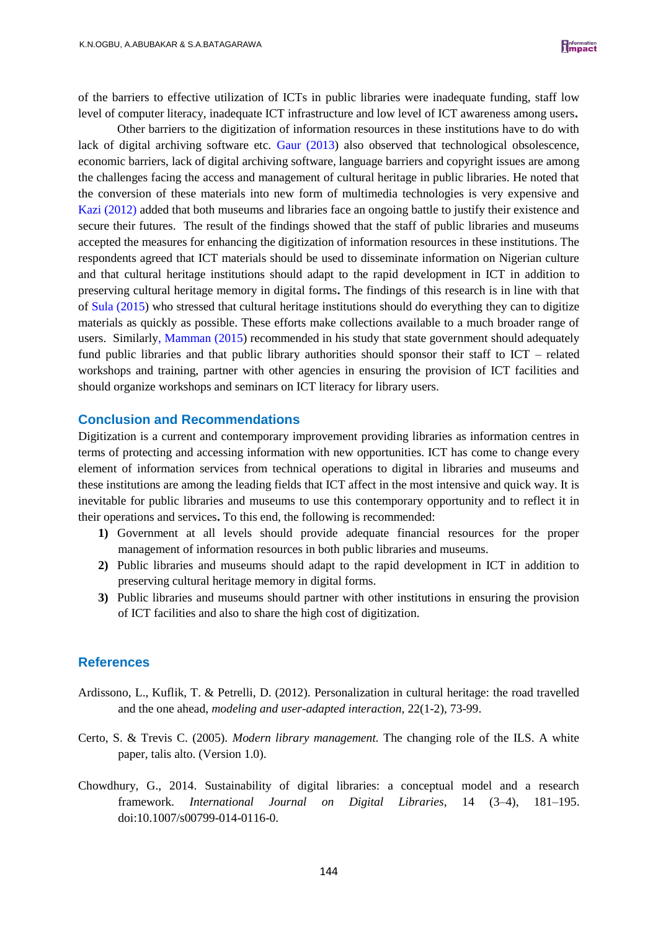of the barriers to effective utilization of ICTs in public libraries were inadequate funding, staff low level of computer literacy, inadequate ICT infrastructure and low level of ICT awareness among users**.** 

Other barriers to the digitization of information resources in these institutions have to do with lack of digital archiving software etc. [Gaur \(2013\)](Article%20emprical%20CHALLENGES%20%202.doc) also observed that technological obsolescence, economic barriers, lack of digital archiving software, language barriers and copyright issues are among the challenges facing the access and management of cultural heritage in public libraries. He noted that the conversion of these materials into new form of multimedia technologies is very expensive and [Kazi \(2012\)](Article%20emprical%20CHALLENGES%20%202.doc) added that both museums and libraries face an ongoing battle to justify their existence and secure their futures. The result of the findings showed that the staff of public libraries and museums accepted the measures for enhancing the digitization of information resources in these institutions. The respondents agreed that ICT materials should be used to disseminate information on Nigerian culture and that cultural heritage institutions should adapt to the rapid development in ICT in addition to preserving cultural heritage memory in digital forms**.** The findings of this research is in line with that of [Sula \(2015\)](Article%20emprical%20CHALLENGES%20%202.doc) who stressed that cultural heritage institutions should do everything they can to digitize materials as quickly as possible. These efforts make collections available to a much broader range of users. Similarl[y, Mamman \(2015\)](Article%20emprical%20CHALLENGES%20%202.doc) recommended in his study that state government should adequately fund public libraries and that public library authorities should sponsor their staff to ICT – related workshops and training, partner with other agencies in ensuring the provision of ICT facilities and should organize workshops and seminars on ICT literacy for library users.

#### **Conclusion and Recommendations**

Digitization is a current and contemporary improvement providing libraries as information centres in terms of protecting and accessing information with new opportunities. ICT has come to change every element of information services from technical operations to digital in libraries and museums and these institutions are among the leading fields that ICT affect in the most intensive and quick way. It is inevitable for public libraries and museums to use this contemporary opportunity and to reflect it in their operations and services**.** To this end, the following is recommended:

- **1)** Government at all levels should provide adequate financial resources for the proper management of information resources in both public libraries and museums.
- **2)** Public libraries and museums should adapt to the rapid development in ICT in addition to preserving cultural heritage memory in digital forms.
- **3)** Public libraries and museums should partner with other institutions in ensuring the provision of ICT facilities and also to share the high cost of digitization.

### **References**

- Ardissono, L., Kuflik, T. & Petrelli, D. (2012). Personalization in cultural heritage: the road travelled and the one ahead, *modeling and user-adapted interaction,* 22(1-2), 73-99.
- Certo, S. & Trevis C. (2005). *Modern library management.* The changing role of the ILS. A white paper, talis alto. (Version 1.0).
- Chowdhury, G., 2014. Sustainability of digital libraries: a conceptual model and a research framework. *International Journal on Digital Libraries*, 14 (3–4), 181–195. doi:10.1007/s00799-014-0116-0.